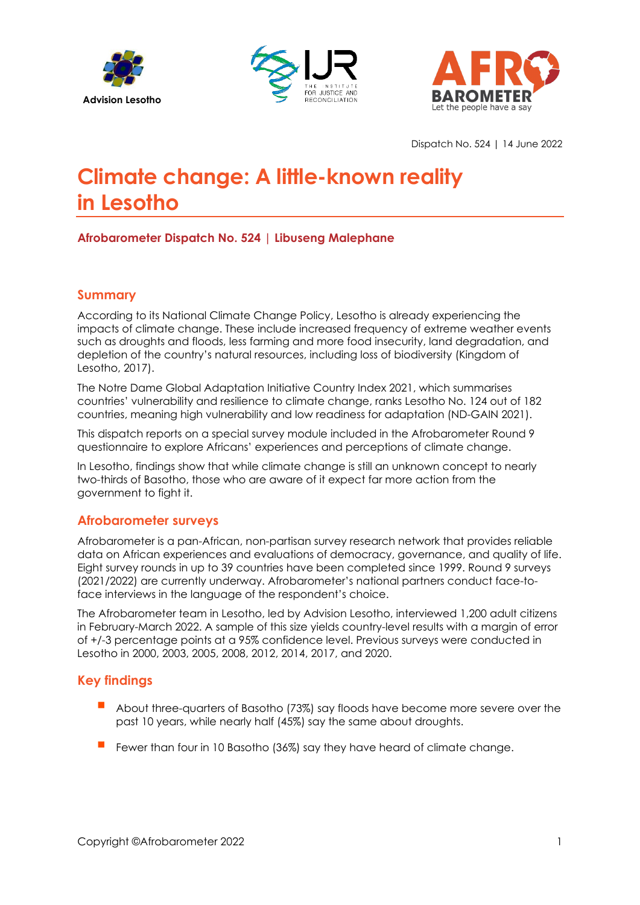





Dispatch No. 524 | 14 June 2022

# **Climate change: A little-known reality in Lesotho**

**Afrobarometer Dispatch No. 524 | Libuseng Malephane**

## **Summary**

According to its National Climate Change Policy, Lesotho is already experiencing the impacts of climate change. These include increased frequency of extreme weather events such as droughts and floods, less farming and more food insecurity, land degradation, and depletion of the country's natural resources, including loss of biodiversity (Kingdom of Lesotho, 2017).

The Notre Dame Global Adaptation Initiative Country Index 2021, which summarises countries' vulnerability and resilience to climate change, ranks Lesotho No. 124 out of 182 countries, meaning high vulnerability and low readiness for adaptation (ND-GAIN 2021).

This dispatch reports on a special survey module included in the Afrobarometer Round 9 questionnaire to explore Africans' experiences and perceptions of climate change.

In Lesotho, findings show that while climate change is still an unknown concept to nearly two-thirds of Basotho, those who are aware of it expect far more action from the government to fight it.

### **Afrobarometer surveys**

Afrobarometer is a pan-African, non-partisan survey research network that provides reliable data on African experiences and evaluations of democracy, governance, and quality of life. Eight survey rounds in up to 39 countries have been completed since 1999. Round 9 surveys (2021/2022) are currently underway. Afrobarometer's national partners conduct face-toface interviews in the language of the respondent's choice.

The Afrobarometer team in Lesotho, led by Advision Lesotho, interviewed 1,200 adult citizens in February-March 2022. A sample of this size yields country-level results with a margin of error of +/-3 percentage points at a 95% confidence level. Previous surveys were conducted in Lesotho in 2000, 2003, 2005, 2008, 2012, 2014, 2017, and 2020.

# **Key findings**

- About three-quarters of Basotho (73%) say floods have become more severe over the past 10 years, while nearly half (45%) say the same about droughts.
- Fewer than four in 10 Basotho (36%) say they have heard of climate change.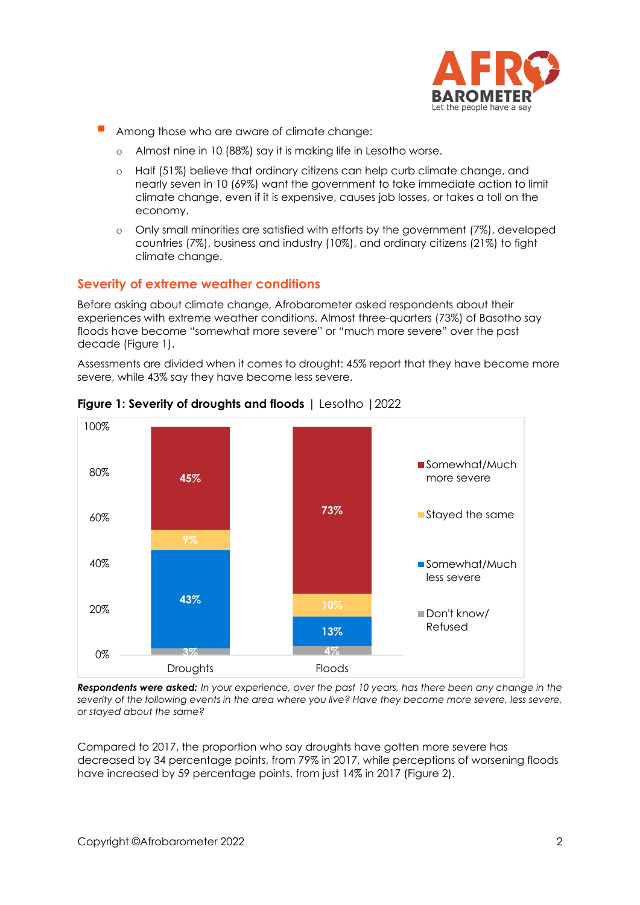

- Among those who are aware of climate change:
	- o Almost nine in 10 (88%) say it is making life in Lesotho worse.
	- o Half (51%) believe that ordinary citizens can help curb climate change, and nearly seven in 10 (69%) want the government to take immediate action to limit climate change, even if it is expensive, causes job losses, or takes a toll on the economy.
	- o Only small minorities are satisfied with efforts by the government (7%), developed countries (7%), business and industry (10%), and ordinary citizens (21%) to fight climate change.

#### **Severity of extreme weather conditions**

Before asking about climate change, Afrobarometer asked respondents about their experiences with extreme weather conditions. Almost three-quarters (73%) of Basotho say floods have become "somewhat more severe" or "much more severe" over the past decade (Figure 1).

Assessments are divided when it comes to drought: 45% report that they have become more severe, while 43% say they have become less severe.



**Figure 1: Severity of droughts and floods** | Lesotho |2022

*Respondents were asked: In your experience, over the past 10 years, has there been any change in the severity of the following events in the area where you live? Have they become more severe, less severe, or stayed about the same?*

Compared to 2017, the proportion who say droughts have gotten more severe has decreased by 34 percentage points, from 79% in 2017, while perceptions of worsening floods have increased by 59 percentage points, from just 14% in 2017 (Figure 2).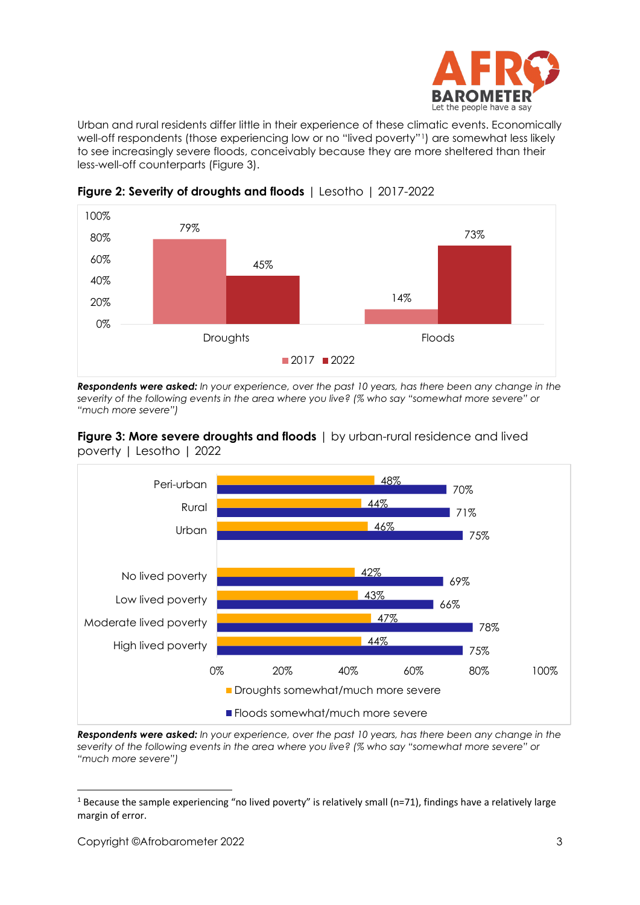

Urban and rural residents differ little in their experience of these climatic events. Economically well-off respondents (those experiencing low or no "lived poverty"[1](#page-2-0)) are somewhat less likely to see increasingly severe floods, conceivably because they are more sheltered than their less-well-off counterparts (Figure 3).



**Figure 2: Severity of droughts and floods** | Lesotho | 2017-2022

*Respondents were asked: In your experience, over the past 10 years, has there been any change in the severity of the following events in the area where you live? (% who say "somewhat more severe" or "much more severe")*





*Respondents were asked: In your experience, over the past 10 years, has there been any change in the severity of the following events in the area where you live? (% who say "somewhat more severe" or "much more severe")*

<span id="page-2-0"></span><sup>&</sup>lt;sup>1</sup> Because the sample experiencing "no lived poverty" is relatively small (n=71), findings have a relatively large margin of error.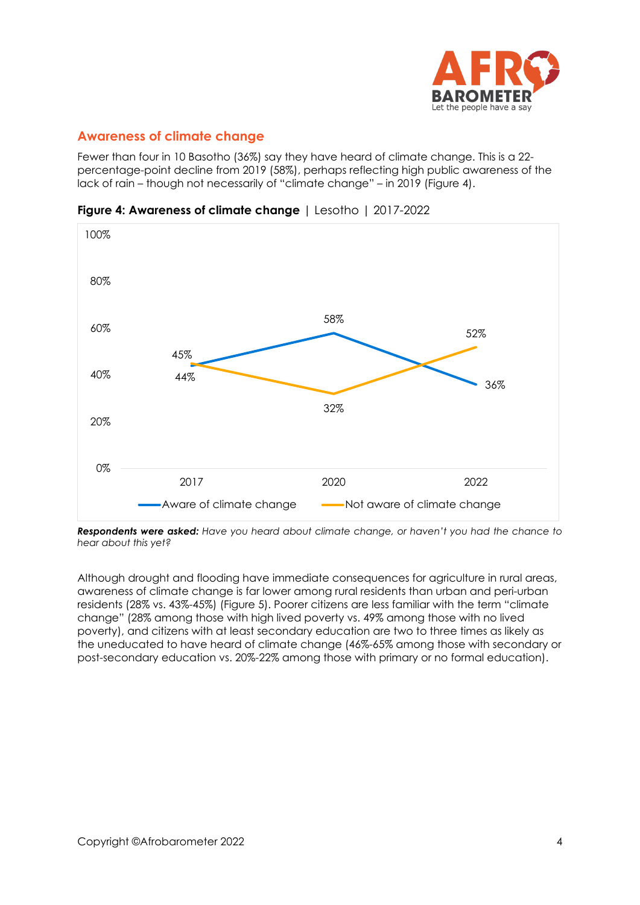

# **Awareness of climate change**

Fewer than four in 10 Basotho (36%) say they have heard of climate change. This is a 22 percentage-point decline from 2019 (58%), perhaps reflecting high public awareness of the lack of rain – though not necessarily of "climate change" – in 2019 (Figure 4).

**Figure 4: Awareness of climate change** | Lesotho | 2017-2022



*Respondents were asked: Have you heard about climate change, or haven't you had the chance to hear about this yet?*

Although drought and flooding have immediate consequences for agriculture in rural areas, awareness of climate change is far lower among rural residents than urban and peri-urban residents (28% vs. 43%-45%) (Figure 5). Poorer citizens are less familiar with the term "climate change" (28% among those with high lived poverty vs. 49% among those with no lived poverty), and citizens with at least secondary education are two to three times as likely as the uneducated to have heard of climate change (46%-65% among those with secondary or post-secondary education vs. 20%-22% among those with primary or no formal education).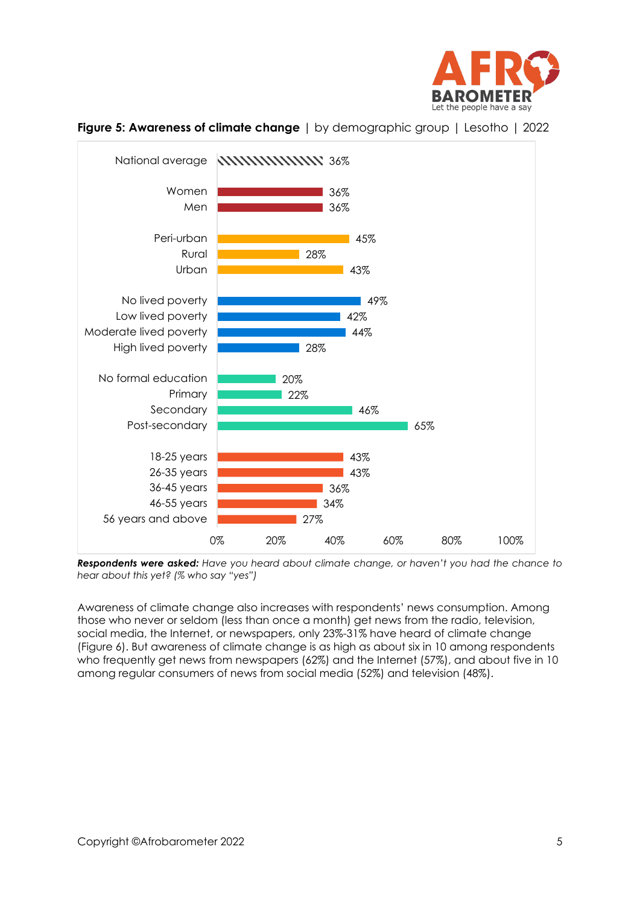



**Figure 5: Awareness of climate change** | by demographic group | Lesotho | 2022

*Respondents were asked: Have you heard about climate change, or haven't you had the chance to hear about this yet? (% who say "yes")*

Awareness of climate change also increases with respondents' news consumption. Among those who never or seldom (less than once a month) get news from the radio, television, social media, the Internet, or newspapers, only 23%-31% have heard of climate change (Figure 6). But awareness of climate change is as high as about six in 10 among respondents who frequently get news from newspapers (62%) and the Internet (57%), and about five in 10 among regular consumers of news from social media (52%) and television (48%).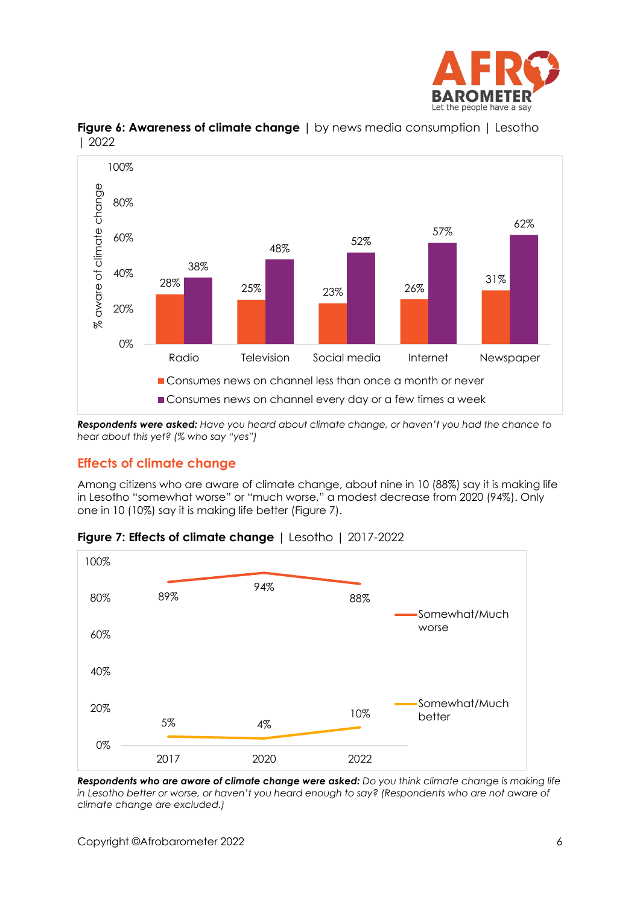



#### **Figure 6: Awareness of climate change** | by news media consumption | Lesotho | 2022

*Respondents were asked: Have you heard about climate change, or haven't you had the chance to hear about this yet? (% who say "yes")*

# **Effects of climate change**

Among citizens who are aware of climate change, about nine in 10 (88%) say it is making life in Lesotho "somewhat worse" or "much worse," a modest decrease from 2020 (94%). Only one in 10 (10%) say it is making life better (Figure 7).



### **Figure 7: Effects of climate change** | Lesotho | 2017-2022

*Respondents who are aware of climate change were asked: Do you think climate change is making life in Lesotho better or worse, or haven't you heard enough to say? (Respondents who are not aware of climate change are excluded.)*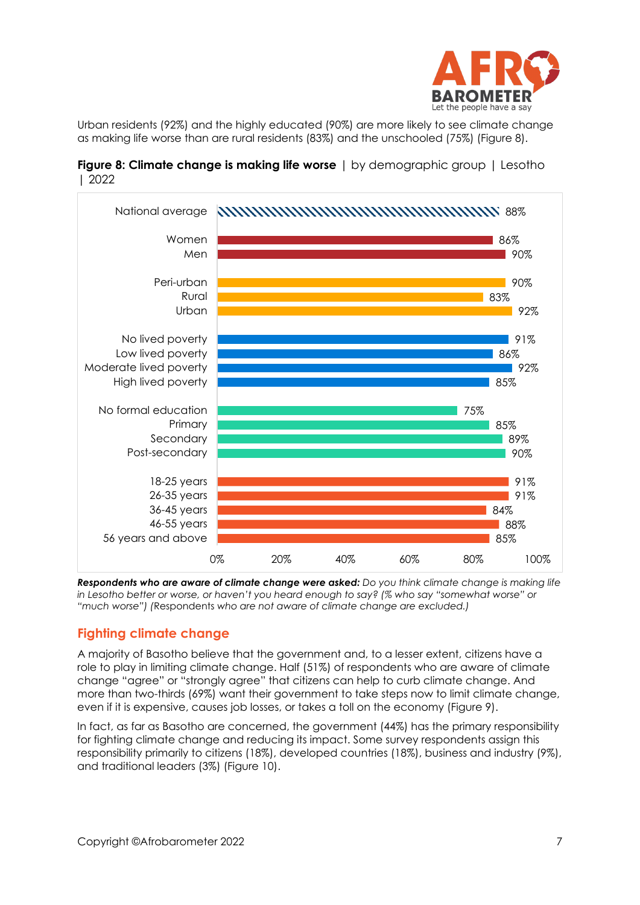

Urban residents (92%) and the highly educated (90%) are more likely to see climate change as making life worse than are rural residents (83%) and the unschooled (75%) (Figure 8).





*Respondents who are aware of climate change were asked: Do you think climate change is making life in Lesotho better or worse, or haven't you heard enough to say? (% who say "somewhat worse" or "much worse") (*Respondents *who are not aware of climate change are excluded.)*

# **Fighting climate change**

A majority of Basotho believe that the government and, to a lesser extent, citizens have a role to play in limiting climate change. Half (51%) of respondents who are aware of climate change "agree" or "strongly agree" that citizens can help to curb climate change. And more than two-thirds (69%) want their government to take steps now to limit climate change, even if it is expensive, causes job losses, or takes a toll on the economy (Figure 9).

In fact, as far as Basotho are concerned, the government (44%) has the primary responsibility for fighting climate change and reducing its impact. Some survey respondents assign this responsibility primarily to citizens (18%), developed countries (18%), business and industry (9%), and traditional leaders (3%) (Figure 10).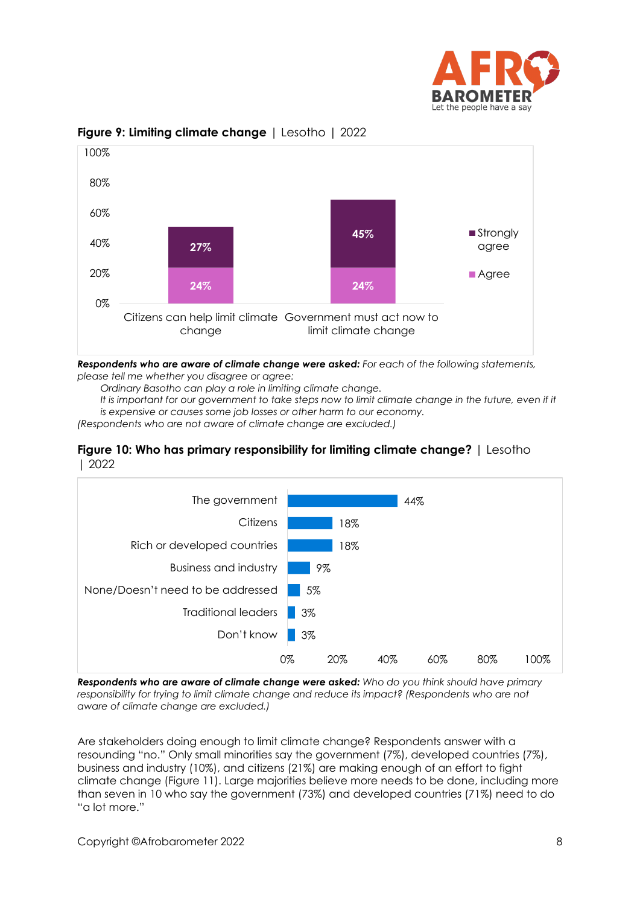



#### **Figure 9: Limiting climate change** | Lesotho | 2022

*Respondents who are aware of climate change were asked: For each of the following statements, please tell me whether you disagree or agree:*

*Ordinary Basotho can play a role in limiting climate change.*

It is important for our government to take steps now to limit climate change in the future, even if it *is expensive or causes some job losses or other harm to our economy.*

*(Respondents who are not aware of climate change are excluded.)*

#### **Figure 10: Who has primary responsibility for limiting climate change?** | Lesotho | 2022



*Respondents who are aware of climate change were asked: Who do you think should have primary responsibility for trying to limit climate change and reduce its impact? (Respondents who are not aware of climate change are excluded.)*

Are stakeholders doing enough to limit climate change? Respondents answer with a resounding "no." Only small minorities say the government (7%), developed countries (7%), business and industry (10%), and citizens (21%) are making enough of an effort to fight climate change (Figure 11). Large majorities believe more needs to be done, including more than seven in 10 who say the government (73%) and developed countries (71%) need to do "a lot more."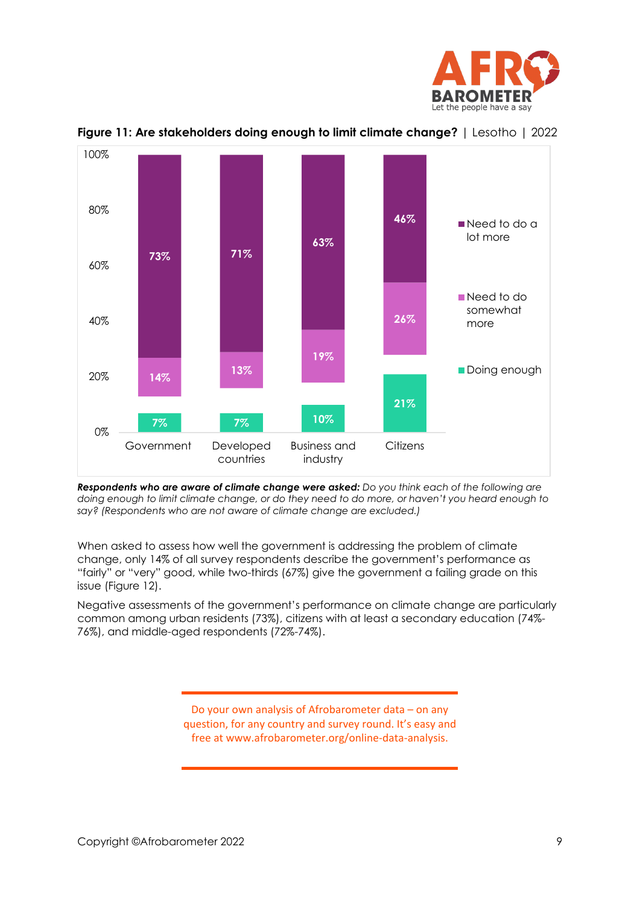



**Figure 11: Are stakeholders doing enough to limit climate change?** | Lesotho | 2022

*Respondents who are aware of climate change were asked: Do you think each of the following are doing enough to limit climate change, or do they need to do more, or haven't you heard enough to say? (Respondents who are not aware of climate change are excluded.)*

When asked to assess how well the government is addressing the problem of climate change, only 14% of all survey respondents describe the government's performance as "fairly" or "very" good, while two-thirds (67%) give the government a failing grade on this issue (Figure 12).

Negative assessments of the government's performance on climate change are particularly common among urban residents (73%), citizens with at least a secondary education (74%- 76%), and middle-aged respondents (72%-74%).

> Do your own analysis of Afrobarometer data – on any question, for any country and survey round. It's easy and free at www.afrobarometer.org/online-data-analysis.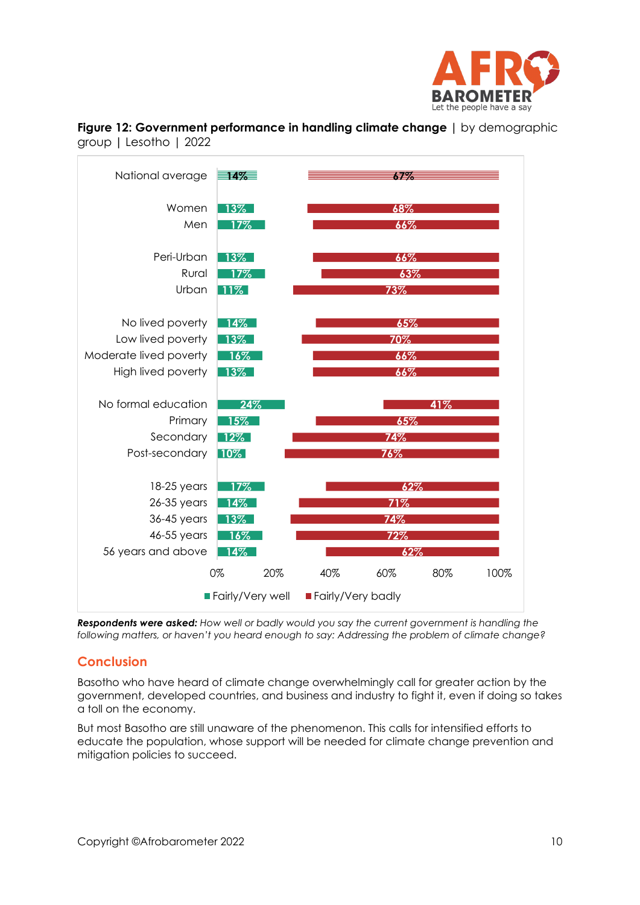





*Respondents were asked: How well or badly would you say the current government is handling the following matters, or haven't you heard enough to say: Addressing the problem of climate change?*

# **Conclusion**

Basotho who have heard of climate change overwhelmingly call for greater action by the government, developed countries, and business and industry to fight it, even if doing so takes a toll on the economy.

But most Basotho are still unaware of the phenomenon. This calls for intensified efforts to educate the population, whose support will be needed for climate change prevention and mitigation policies to succeed.